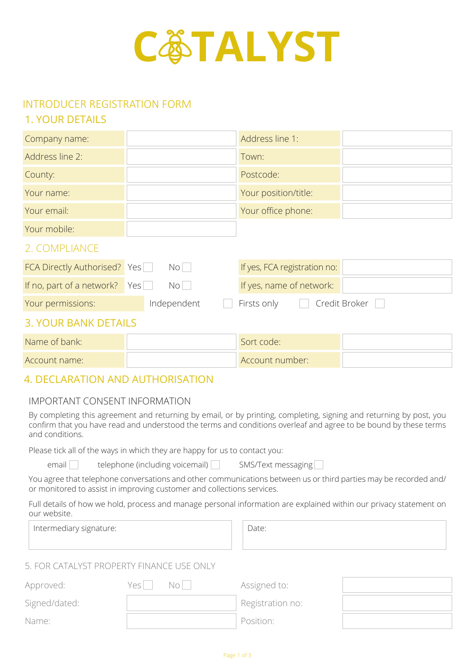

# INTRODUCER REGISTRATION FORM

## 1. YOUR DETAILS

| Company name:                       |             | Address line 1:              |               |  |  |  |  |
|-------------------------------------|-------------|------------------------------|---------------|--|--|--|--|
| Address line 2:                     |             | Town:                        |               |  |  |  |  |
| County:                             |             | Postcode:                    |               |  |  |  |  |
| Your name:                          |             | Your position/title:         |               |  |  |  |  |
| Your email:                         |             | Your office phone:           |               |  |  |  |  |
| Your mobile:                        |             |                              |               |  |  |  |  |
| 2. COMPLIANCE                       |             |                              |               |  |  |  |  |
| <b>FCA Directly Authorised?</b> Yes | No          | If yes, FCA registration no: |               |  |  |  |  |
| If no, part of a network?           | Yes<br>No   | If yes, name of network:     |               |  |  |  |  |
| Your permissions:                   | Independent | Firsts only                  | Credit Broker |  |  |  |  |
| <b>3. YOUR BANK DETAILS</b>         |             |                              |               |  |  |  |  |
| Name of bank:                       |             | Sort code:                   |               |  |  |  |  |
| Account name:                       |             | Account number:              |               |  |  |  |  |

## 4. DECLARATION AND AUTHORISATION

## IMPORTANT CONSENT INFORMATION

By completing this agreement and returning by email, or by printing, completing, signing and returning by post, you confirm that you have read and understood the terms and conditions overleaf and agree to be bound by these terms and conditions.

Please tick all of the ways in which they are happy for us to contact you:

email delephone (including voicemail) SMS/Text messaging

You agree that telephone conversations and other communications between us or third parties may be recorded and/ or monitored to assist in improving customer and collections services.

Full details of how we hold, process and manage personal information are explained within our privacy statement on our website.

Intermediary signature:  $\Box$  Date:

## 5. FOR CATALYST PROPERTY FINANCE USE ONLY

| Approved:     | Yesl | No i | Assigned to:     |  |
|---------------|------|------|------------------|--|
| Signed/dated: |      |      | Registration no: |  |
| Name:         |      |      | Position:        |  |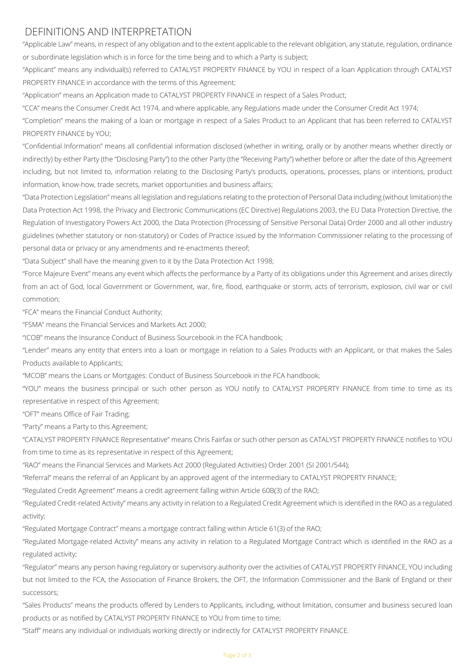## DEFINITIONS AND INTERPRETATION

"Applicable Law" means, in respect of any obligation and to the extent applicable to the relevant obligation, any statute, regulation, ordinance or subordinate legislation which is in force for the time being and to which a Party is subject;

"Applicant" means any individual(s) referred to CATALYST PROPERTY FINANCE by YOU in respect of a loan Application through CATALYST PROPERTY FINANCE in accordance with the terms of this Agreement;

"Application" means an Application made to CATALYST PROPERTY FINANCE in respect of a Sales Product;

"CCA" means the Consumer Credit Act 1974, and where applicable, any Regulations made under the Consumer Credit Act 1974;

"Completion" means the making of a loan or mortgage in respect of a Sales Product to an Applicant that has been referred to CATALYST PROPERTY FINANCE by YOU;

"Confidential Information" means all confidential information disclosed (whether in writing, orally or by another means whether directly or indirectly) by either Party (the "Disclosing Party") to the other Party (the "Receiving Party") whether before or after the date of this Agreement including, but not limited to, information relating to the Disclosing Party's products, operations, processes, plans or intentions, product information, know-how, trade secrets, market opportunities and business affairs;

"Data Protection Legislation" means all legislation and regulations relating to the protection of Personal Data including (without limitation) the Data Protection Act 1998, the Privacy and Electronic Communications (EC Directive) Regulations 2003, the EU Data Protection Directive, the Regulation of Investigatory Powers Act 2000, the Data Protection (Processing of Sensitive Personal Data) Order 2000 and all other industry guidelines (whether statutory or non-statutory) or Codes of Practice issued by the Information Commissioner relating to the processing of personal data or privacy or any amendments and re-enactments thereof;

"Data Subject" shall have the meaning given to it by the Data Protection Act 1998;

"Force Majeure Event" means any event which affects the performance by a Party of its obligations under this Agreement and arises directly from an act of God, local Government or Government, war, fire, flood, earthquake or storm, acts of terrorism, explosion, civil war or civil commotion;

"FCA" means the Financial Conduct Authority;

"FSMA" means the Financial Services and Markets Act 2000;

"ICOB" means the Insurance Conduct of Business Sourcebook in the FCA handbook;

"Lender" means any entity that enters into a loan or mortgage in relation to a Sales Products with an Applicant, or that makes the Sales Products available to Applicants;

"MCOB" means the Loans or Mortgages: Conduct of Business Sourcebook in the FCA handbook;

"YOU" means the business principal or such other person as YOU notify to CATALYST PROPERTY FINANCE from time to time as its representative in respect of this Agreement;

"OFT" means Office of Fair Trading;

"Party" means a Party to this Agreement;

"CATALYST PROPERTY FINANCE Representative" means Chris Fairfax or such other person as CATALYST PROPERTY FINANCE notifies to YOU from time to time as its representative in respect of this Agreement;

"RAO" means the Financial Services and Markets Act 2000 (Regulated Activities) Order 2001 (SI 2001/544);

"Referral" means the referral of an Applicant by an approved agent of the intermediary to CATALYST PROPERTY FINANCE;

"Regulated Credit Agreement" means a credit agreement falling within Article 60B(3) of the RAO;

"Regulated Credit-related Activity" means any activity in relation to a Regulated Credit Agreement which is identified in the RAO as a regulated activity;

"Regulated Mortgage Contract" means a mortgage contract falling within Article 61(3) of the RAO;

"Regulated Mortgage-related Activity" means any activity in relation to a Regulated Mortgage Contract which is identified in the RAO as a regulated activity;

"Regulator" means any person having regulatory or supervisory authority over the activities of CATALYST PROPERTY FINANCE, YOU including but not limited to the FCA, the Association of Finance Brokers, the OFT, the Information Commissioner and the Bank of England or their successors;

"Sales Products" means the products offered by Lenders to Applicants, including, without limitation, consumer and business secured loan products or as notified by CATALYST PROPERTY FINANCE to YOU from time to time;

"Staff" means any individual or individuals working directly or indirectly for CATALYST PROPERTY FINANCE.